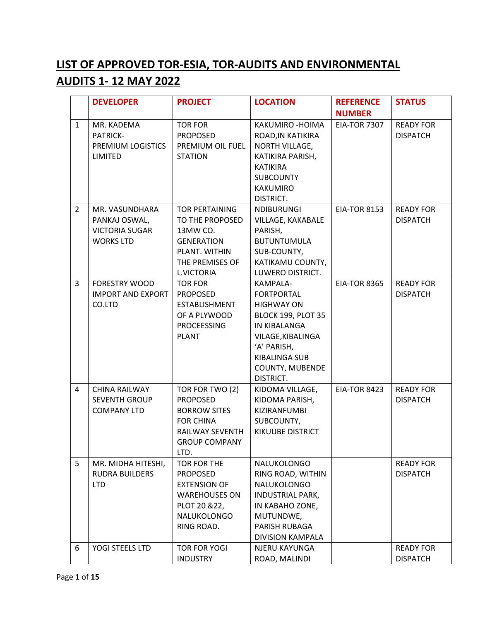## **LIST OF APPROVED TOR-ESIA, TOR-AUDITS AND ENVIRONMENTAL AUDITS 1- 12 MAY 2022**

|                | <b>DEVELOPER</b>                                                             | <b>PROJECT</b>                                                                                                                   | <b>LOCATION</b>                                                                                                                                                                                    | <b>REFERENCE</b>    | <b>STATUS</b>                       |
|----------------|------------------------------------------------------------------------------|----------------------------------------------------------------------------------------------------------------------------------|----------------------------------------------------------------------------------------------------------------------------------------------------------------------------------------------------|---------------------|-------------------------------------|
|                |                                                                              |                                                                                                                                  |                                                                                                                                                                                                    | <b>NUMBER</b>       |                                     |
| $\mathbf{1}$   | MR. KADEMA<br>PATRICK-<br>PREMIUM LOGISTICS<br>LIMITED                       | <b>TOR FOR</b><br><b>PROPOSED</b><br>PREMIUM OIL FUEL<br><b>STATION</b>                                                          | KAKUMIRO - HOIMA<br>ROAD, IN KATIKIRA<br>NORTH VILLAGE,<br>KATIKIRA PARISH,<br><b>KATIKIRA</b><br><b>SUBCOUNTY</b><br><b>KAKUMIRO</b><br>DISTRICT.                                                 | <b>EIA-TOR 7307</b> | <b>READY FOR</b><br><b>DISPATCH</b> |
| $\overline{2}$ | MR. VASUNDHARA<br>PANKAJ OSWAL,<br><b>VICTORIA SUGAR</b><br><b>WORKS LTD</b> | <b>TOR PERTAINING</b><br>TO THE PROPOSED<br>13MW CO.<br><b>GENERATION</b><br>PLANT. WITHIN<br>THE PREMISES OF<br>L.VICTORIA      | <b>NDIBURUNGI</b><br>VILLAGE, KAKABALE<br>PARISH,<br><b>BUTUNTUMULA</b><br>SUB-COUNTY,<br>KATIKAMU COUNTY,<br>LUWERO DISTRICT.                                                                     | <b>EIA-TOR 8153</b> | <b>READY FOR</b><br><b>DISPATCH</b> |
| 3              | <b>FORESTRY WOOD</b><br><b>IMPORT AND EXPORT</b><br>CO.LTD                   | <b>TOR FOR</b><br><b>PROPOSED</b><br>ESTABLISHMENT<br>OF A PLYWOOD<br><b>PROCEESSING</b><br><b>PLANT</b>                         | KAMPALA-<br><b>FORTPORTAL</b><br><b>HIGHWAY ON</b><br><b>BLOCK 199, PLOT 35</b><br>IN KIBALANGA<br>VILAGE, KIBALINGA<br>'A' PARISH,<br><b>KIBALINGA SUB</b><br><b>COUNTY, MUBENDE</b><br>DISTRICT. | <b>EIA-TOR 8365</b> | <b>READY FOR</b><br><b>DISPATCH</b> |
| $\overline{4}$ | CHINA RAILWAY<br><b>SEVENTH GROUP</b><br><b>COMPANY LTD</b>                  | TOR FOR TWO (2)<br><b>PROPOSED</b><br><b>BORROW SITES</b><br><b>FOR CHINA</b><br>RAILWAY SEVENTH<br><b>GROUP COMPANY</b><br>LTD. | KIDOMA VILLAGE,<br>KIDOMA PARISH,<br>KIZIRANFUMBI<br>SUBCOUNTY,<br><b>KIKUUBE DISTRICT</b>                                                                                                         | <b>EIA-TOR 8423</b> | <b>READY FOR</b><br><b>DISPATCH</b> |
| 5              | MR. MIDHA HITESHI,<br><b>RUDRA BUILDERS</b><br><b>LTD</b>                    | TOR FOR THE<br><b>PROPOSED</b><br><b>EXTENSION OF</b><br><b>WAREHOUSES ON</b><br>PLOT 20 & 22,<br>NALUKOLONGO<br>RING ROAD.      | NALUKOLONGO<br>RING ROAD, WITHIN<br>NALUKOLONGO<br><b>INDUSTRIAL PARK,</b><br>IN KABAHO ZONE,<br>MUTUNDWE,<br>PARISH RUBAGA<br>DIVISION KAMPALA                                                    |                     | <b>READY FOR</b><br><b>DISPATCH</b> |
| 6              | YOGI STEELS LTD                                                              | <b>TOR FOR YOGI</b><br><b>INDUSTRY</b>                                                                                           | NJERU KAYUNGA<br>ROAD, MALINDI                                                                                                                                                                     |                     | <b>READY FOR</b><br><b>DISPATCH</b> |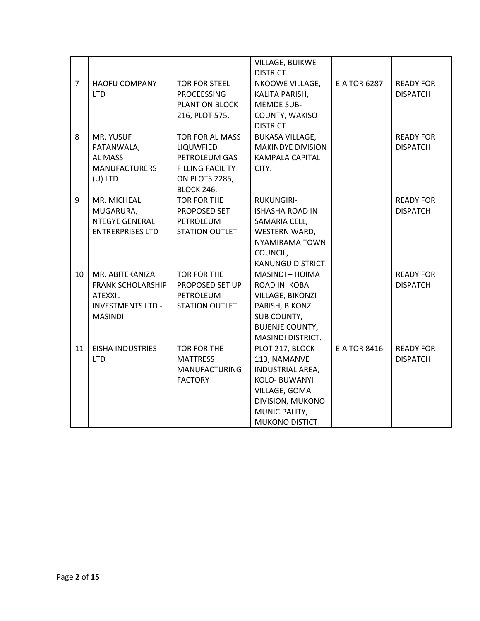|                |                                                                                                             |                                                                                                                        | VILLAGE, BUIKWE<br>DISTRICT.                                                                                                                        |                     |                                     |
|----------------|-------------------------------------------------------------------------------------------------------------|------------------------------------------------------------------------------------------------------------------------|-----------------------------------------------------------------------------------------------------------------------------------------------------|---------------------|-------------------------------------|
| $\overline{7}$ | <b>HAOFU COMPANY</b><br><b>LTD</b>                                                                          | <b>TOR FOR STEEL</b><br><b>PROCEESSING</b><br>PLANT ON BLOCK<br>216, PLOT 575.                                         | NKOOWE VILLAGE,<br>KALITA PARISH,<br><b>MEMDE SUB-</b><br>COUNTY, WAKISO<br><b>DISTRICT</b>                                                         | <b>EIA TOR 6287</b> | <b>READY FOR</b><br><b>DISPATCH</b> |
| 8              | MR. YUSUF<br>PATANWALA,<br>AL MASS<br><b>MANUFACTURERS</b><br>$(U)$ LTD                                     | <b>TOR FOR AL MASS</b><br>LIQUWFIED<br>PETROLEUM GAS<br><b>FILLING FACILITY</b><br>ON PLOTS 2285,<br><b>BLOCK 246.</b> | <b>BUKASA VILLAGE,</b><br><b>MAKINDYE DIVISION</b><br><b>KAMPALA CAPITAL</b><br>CITY.                                                               |                     | <b>READY FOR</b><br><b>DISPATCH</b> |
| 9              | MR. MICHEAL<br>MUGARURA,<br><b>NTEGYE GENERAL</b><br><b>ENTRERPRISES LTD</b>                                | TOR FOR THE<br>PROPOSED SET<br>PETROLEUM<br><b>STATION OUTLET</b>                                                      | <b>RUKUNGIRI-</b><br><b>ISHASHA ROAD IN</b><br>SAMARIA CELL,<br>WESTERN WARD,<br><b>NYAMIRAMA TOWN</b><br>COUNCIL,<br>KANUNGU DISTRICT.             |                     | <b>READY FOR</b><br><b>DISPATCH</b> |
| 10             | MR. ABITEKANIZA<br><b>FRANK SCHOLARSHIP</b><br><b>ATEXXIL</b><br><b>INVESTMENTS LTD -</b><br><b>MASINDI</b> | TOR FOR THE<br>PROPOSED SET UP<br>PETROLEUM<br><b>STATION OUTLET</b>                                                   | MASINDI - HOIMA<br>ROAD IN IKOBA<br><b>VILLAGE, BIKONZI</b><br>PARISH, BIKONZI<br>SUB COUNTY,<br><b>BUJENJE COUNTY,</b><br>MASINDI DISTRICT.        |                     | <b>READY FOR</b><br><b>DISPATCH</b> |
| 11             | <b>EISHA INDUSTRIES</b><br><b>LTD</b>                                                                       | TOR FOR THE<br><b>MATTRESS</b><br><b>MANUFACTURING</b><br><b>FACTORY</b>                                               | PLOT 217, BLOCK<br>113, NAMANVE<br>INDUSTRIAL AREA,<br>KOLO- BUWANYI<br>VILLAGE, GOMA<br>DIVISION, MUKONO<br>MUNICIPALITY,<br><b>MUKONO DISTICT</b> | <b>EIA TOR 8416</b> | <b>READY FOR</b><br><b>DISPATCH</b> |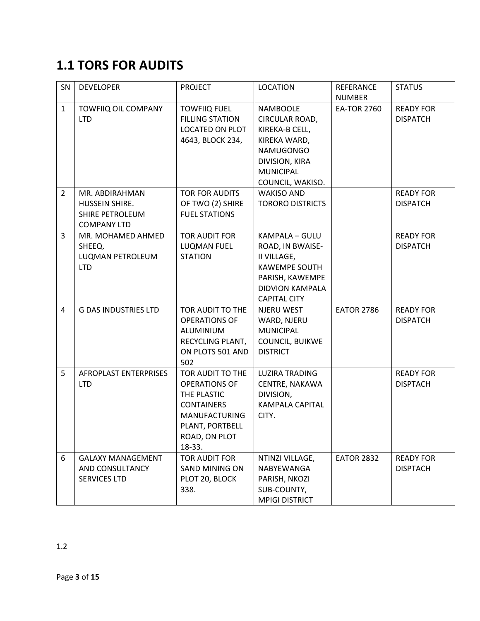# **1.1 TORS FOR AUDITS**

| SN             | <b>DEVELOPER</b>                                                          | <b>PROJECT</b>                                                                                                                                     | <b>LOCATION</b>                                                                                                                                   | <b>REFERANCE</b><br><b>NUMBER</b> | <b>STATUS</b>                       |
|----------------|---------------------------------------------------------------------------|----------------------------------------------------------------------------------------------------------------------------------------------------|---------------------------------------------------------------------------------------------------------------------------------------------------|-----------------------------------|-------------------------------------|
| $\mathbf{1}$   | <b>TOWFIIQ OIL COMPANY</b><br><b>LTD</b>                                  | <b>TOWFIIQ FUEL</b><br><b>FILLING STATION</b><br><b>LOCATED ON PLOT</b><br>4643, BLOCK 234,                                                        | <b>NAMBOOLE</b><br>CIRCULAR ROAD,<br>KIREKA-B CELL,<br>KIREKA WARD,<br><b>NAMUGONGO</b><br>DIVISION, KIRA<br><b>MUNICIPAL</b><br>COUNCIL, WAKISO. | <b>EA-TOR 2760</b>                | <b>READY FOR</b><br><b>DISPATCH</b> |
| $\overline{2}$ | MR. ABDIRAHMAN<br>HUSSEIN SHIRE.<br>SHIRE PETROLEUM<br><b>COMPANY LTD</b> | <b>TOR FOR AUDITS</b><br>OF TWO (2) SHIRE<br><b>FUEL STATIONS</b>                                                                                  | <b>WAKISO AND</b><br><b>TORORO DISTRICTS</b>                                                                                                      |                                   | <b>READY FOR</b><br><b>DISPATCH</b> |
| 3              | MR. MOHAMED AHMED<br>SHEEQ.<br>LUQMAN PETROLEUM<br><b>LTD</b>             | <b>TOR AUDIT FOR</b><br>LUQMAN FUEL<br><b>STATION</b>                                                                                              | KAMPALA - GULU<br>ROAD, IN BWAISE-<br>II VILLAGE,<br><b>KAWEMPE SOUTH</b><br>PARISH, KAWEMPE<br>DIDVION KAMPALA<br><b>CAPITAL CITY</b>            |                                   | <b>READY FOR</b><br><b>DISPATCH</b> |
| 4              | <b>G DAS INDUSTRIES LTD</b>                                               | TOR AUDIT TO THE<br><b>OPERATIONS OF</b><br>ALUMINIUM<br>RECYCLING PLANT,<br>ON PLOTS 501 AND<br>502                                               | NJERU WEST<br>WARD, NJERU<br><b>MUNICIPAL</b><br>COUNCIL, BUIKWE<br><b>DISTRICT</b>                                                               | <b>EATOR 2786</b>                 | <b>READY FOR</b><br><b>DISPATCH</b> |
| 5              | AFROPLAST ENTERPRISES<br><b>LTD</b>                                       | TOR AUDIT TO THE<br><b>OPERATIONS OF</b><br>THE PLASTIC<br><b>CONTAINERS</b><br><b>MANUFACTURING</b><br>PLANT, PORTBELL<br>ROAD, ON PLOT<br>18-33. | <b>LUZIRA TRADING</b><br>CENTRE, NAKAWA<br>DIVISION,<br><b>KAMPALA CAPITAL</b><br>CITY.                                                           |                                   | <b>READY FOR</b><br><b>DISPTACH</b> |
| 6              | <b>GALAXY MANAGEMENT</b><br>AND CONSULTANCY<br><b>SERVICES LTD</b>        | <b>TOR AUDIT FOR</b><br>SAND MINING ON<br>PLOT 20, BLOCK<br>338.                                                                                   | NTINZI VILLAGE,<br>NABYEWANGA<br>PARISH, NKOZI<br>SUB-COUNTY,<br><b>MPIGI DISTRICT</b>                                                            | <b>EATOR 2832</b>                 | <b>READY FOR</b><br><b>DISPTACH</b> |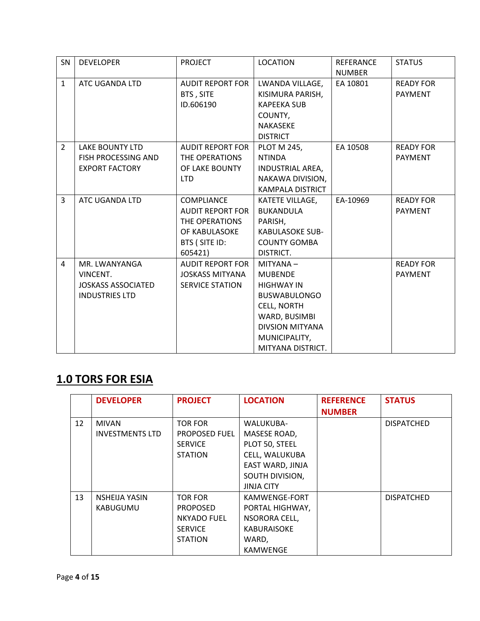| SN             | <b>DEVELOPER</b>           | <b>PROJECT</b>          | <b>LOCATION</b>         | <b>REFERANCE</b> | <b>STATUS</b>    |
|----------------|----------------------------|-------------------------|-------------------------|------------------|------------------|
|                |                            |                         |                         | <b>NUMBER</b>    |                  |
| $\mathbf{1}$   | ATC UGANDA LTD             | <b>AUDIT REPORT FOR</b> | LWANDA VILLAGE,         | EA 10801         | <b>READY FOR</b> |
|                |                            | BTS, SITE               | KISIMURA PARISH,        |                  | <b>PAYMENT</b>   |
|                |                            | ID.606190               | <b>KAPEEKA SUB</b>      |                  |                  |
|                |                            |                         | COUNTY,                 |                  |                  |
|                |                            |                         | <b>NAKASEKE</b>         |                  |                  |
|                |                            |                         | <b>DISTRICT</b>         |                  |                  |
| $\overline{2}$ | <b>LAKE BOUNTY LTD</b>     | <b>AUDIT REPORT FOR</b> | <b>PLOT M 245,</b>      | EA 10508         | <b>READY FOR</b> |
|                | <b>FISH PROCESSING AND</b> | THE OPERATIONS          | <b>NTINDA</b>           |                  | <b>PAYMENT</b>   |
|                | <b>EXPORT FACTORY</b>      | OF LAKE BOUNTY          | <b>INDUSTRIAL AREA,</b> |                  |                  |
|                |                            | <b>LTD</b>              | NAKAWA DIVISION,        |                  |                  |
|                |                            |                         | <b>KAMPALA DISTRICT</b> |                  |                  |
| 3              | ATC UGANDA LTD             | <b>COMPLIANCE</b>       | KATETE VILLAGE,         | EA-10969         | <b>READY FOR</b> |
|                |                            | <b>AUDIT REPORT FOR</b> | <b>BUKANDULA</b>        |                  | <b>PAYMENT</b>   |
|                |                            | THE OPERATIONS          | PARISH,                 |                  |                  |
|                |                            | OF KABULASOKE           | <b>KABULASOKE SUB-</b>  |                  |                  |
|                |                            | BTS (SITE ID:           | <b>COUNTY GOMBA</b>     |                  |                  |
|                |                            | 605421)                 | DISTRICT.               |                  |                  |
| 4              | MR. LWANYANGA              | AUDIT REPORT FOR        | MITYANA-                |                  | <b>READY FOR</b> |
|                | VINCENT.                   | <b>JOSKASS MITYANA</b>  | <b>MUBENDE</b>          |                  | <b>PAYMENT</b>   |
|                | <b>JOSKASS ASSOCIATED</b>  | <b>SERVICE STATION</b>  | <b>HIGHWAY IN</b>       |                  |                  |
|                | <b>INDUSTRIES LTD</b>      |                         | <b>BUSWABULONGO</b>     |                  |                  |
|                |                            |                         | CELL, NORTH             |                  |                  |
|                |                            |                         | WARD, BUSIMBI           |                  |                  |
|                |                            |                         | <b>DIVSION MITYANA</b>  |                  |                  |
|                |                            |                         | MUNICIPALITY,           |                  |                  |
|                |                            |                         | MITYANA DISTRICT.       |                  |                  |

### **1.0 TORS FOR ESIA**

|    | <b>DEVELOPER</b>       | <b>PROJECT</b>       | <b>LOCATION</b>    | <b>REFERENCE</b> | <b>STATUS</b>     |
|----|------------------------|----------------------|--------------------|------------------|-------------------|
|    |                        |                      |                    | <b>NUMBER</b>    |                   |
| 12 | <b>MIVAN</b>           | <b>TOR FOR</b>       | <b>WALUKUBA-</b>   |                  | <b>DISPATCHED</b> |
|    | <b>INVESTMENTS LTD</b> | <b>PROPOSED FUEL</b> | MASESE ROAD,       |                  |                   |
|    |                        | <b>SERVICE</b>       | PLOT 50, STEEL     |                  |                   |
|    |                        | <b>STATION</b>       | CELL, WALUKUBA     |                  |                   |
|    |                        |                      | EAST WARD, JINJA   |                  |                   |
|    |                        |                      | SOUTH DIVISION,    |                  |                   |
|    |                        |                      | <b>JINJA CITY</b>  |                  |                   |
| 13 | <b>NSHEIJA YASIN</b>   | <b>TOR FOR</b>       | KAMWENGE-FORT      |                  | <b>DISPATCHED</b> |
|    | KABUGUMU               | <b>PROPOSED</b>      | PORTAL HIGHWAY,    |                  |                   |
|    |                        | <b>NKYADO FUEL</b>   | NSORORA CELL,      |                  |                   |
|    |                        | <b>SERVICE</b>       | <b>KABURAISOKE</b> |                  |                   |
|    |                        | <b>STATION</b>       | WARD,              |                  |                   |
|    |                        |                      | <b>KAMWENGE</b>    |                  |                   |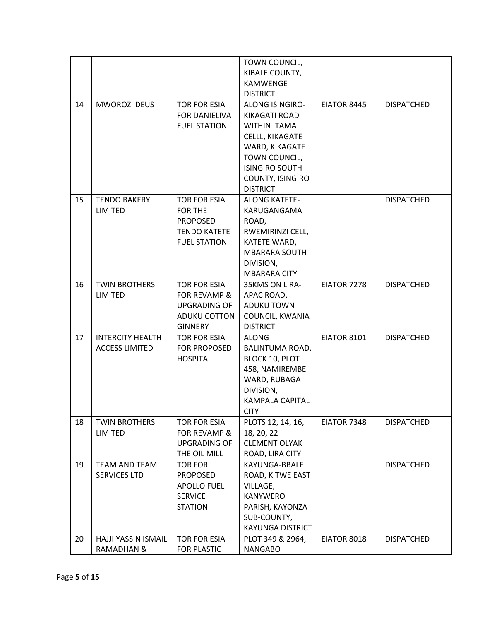|    |                         |                     | TOWN COUNCIL,          |                    |                   |
|----|-------------------------|---------------------|------------------------|--------------------|-------------------|
|    |                         |                     | KIBALE COUNTY,         |                    |                   |
|    |                         |                     | <b>KAMWENGE</b>        |                    |                   |
|    |                         |                     | <b>DISTRICT</b>        |                    |                   |
| 14 | <b>MWOROZI DEUS</b>     | <b>TOR FOR ESIA</b> | <b>ALONG ISINGIRO-</b> | EIATOR 8445        | <b>DISPATCHED</b> |
|    |                         | FOR DANIELIVA       | KIKAGATI ROAD          |                    |                   |
|    |                         | <b>FUEL STATION</b> | <b>WITHIN ITAMA</b>    |                    |                   |
|    |                         |                     | CELLL, KIKAGATE        |                    |                   |
|    |                         |                     | WARD, KIKAGATE         |                    |                   |
|    |                         |                     | TOWN COUNCIL,          |                    |                   |
|    |                         |                     | <b>ISINGIRO SOUTH</b>  |                    |                   |
|    |                         |                     | COUNTY, ISINGIRO       |                    |                   |
|    |                         |                     | <b>DISTRICT</b>        |                    |                   |
| 15 | <b>TENDO BAKERY</b>     | <b>TOR FOR ESIA</b> | <b>ALONG KATETE-</b>   |                    | <b>DISPATCHED</b> |
|    | <b>LIMITED</b>          | <b>FOR THE</b>      | KARUGANGAMA            |                    |                   |
|    |                         | <b>PROPOSED</b>     | ROAD,                  |                    |                   |
|    |                         | <b>TENDO KATETE</b> | RWEMIRINZI CELL,       |                    |                   |
|    |                         | <b>FUEL STATION</b> | KATETE WARD,           |                    |                   |
|    |                         |                     | <b>MBARARA SOUTH</b>   |                    |                   |
|    |                         |                     | DIVISION,              |                    |                   |
|    |                         |                     | <b>MBARARA CITY</b>    |                    |                   |
| 16 | <b>TWIN BROTHERS</b>    | <b>TOR FOR ESIA</b> | 35KMS ON LIRA-         | EIATOR 7278        | <b>DISPATCHED</b> |
|    | <b>LIMITED</b>          | FOR REVAMP &        | APAC ROAD,             |                    |                   |
|    |                         | <b>UPGRADING OF</b> | <b>ADUKU TOWN</b>      |                    |                   |
|    |                         | <b>ADUKU COTTON</b> | COUNCIL, KWANIA        |                    |                   |
|    |                         | <b>GINNERY</b>      | <b>DISTRICT</b>        |                    |                   |
| 17 | <b>INTERCITY HEALTH</b> | TOR FOR ESIA        | <b>ALONG</b>           | <b>EIATOR 8101</b> | <b>DISPATCHED</b> |
|    | <b>ACCESS LIMITED</b>   | FOR PROPOSED        | BALINTUMA ROAD,        |                    |                   |
|    |                         | <b>HOSPITAL</b>     | <b>BLOCK 10, PLOT</b>  |                    |                   |
|    |                         |                     | 458, NAMIREMBE         |                    |                   |
|    |                         |                     | WARD, RUBAGA           |                    |                   |
|    |                         |                     | DIVISION,              |                    |                   |
|    |                         |                     | <b>KAMPALA CAPITAL</b> |                    |                   |
|    |                         |                     | <b>CITY</b>            |                    |                   |
| 18 | <b>TWIN BROTHERS</b>    | TOR FOR ESIA        | PLOTS 12, 14, 16,      | EIATOR 7348        | <b>DISPATCHED</b> |
|    | <b>LIMITED</b>          | FOR REVAMP &        | 18, 20, 22             |                    |                   |
|    |                         | <b>UPGRADING OF</b> | <b>CLEMENT OLYAK</b>   |                    |                   |
|    |                         | THE OIL MILL        | ROAD, LIRA CITY        |                    |                   |
| 19 | <b>TEAM AND TEAM</b>    | <b>TOR FOR</b>      | KAYUNGA-BBALE          |                    | <b>DISPATCHED</b> |
|    | <b>SERVICES LTD</b>     | <b>PROPOSED</b>     | ROAD, KITWE EAST       |                    |                   |
|    |                         | <b>APOLLO FUEL</b>  | VILLAGE,               |                    |                   |
|    |                         | <b>SERVICE</b>      | KANYWERO               |                    |                   |
|    |                         | <b>STATION</b>      | PARISH, KAYONZA        |                    |                   |
|    |                         |                     | SUB-COUNTY,            |                    |                   |
|    |                         |                     | KAYUNGA DISTRICT       |                    |                   |
| 20 | HAJJI YASSIN ISMAIL     | TOR FOR ESIA        | PLOT 349 & 2964,       | EIATOR 8018        | <b>DISPATCHED</b> |
|    | <b>RAMADHAN &amp;</b>   | FOR PLASTIC         | <b>NANGABO</b>         |                    |                   |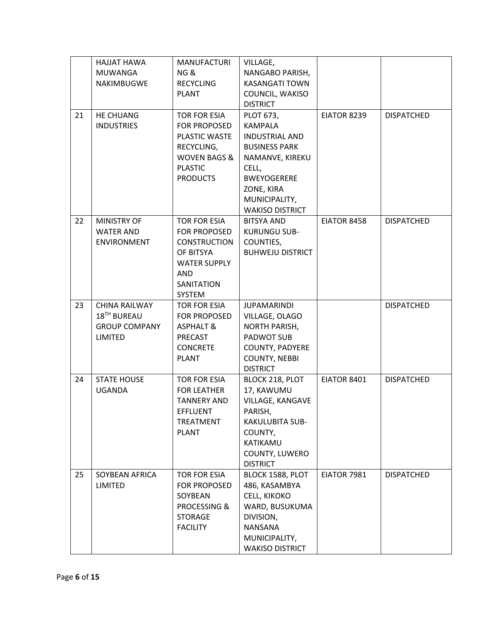|    | HAJJAT HAWA             | <b>MANUFACTURI</b>      | VILLAGE,                |                    |                   |
|----|-------------------------|-------------------------|-------------------------|--------------------|-------------------|
|    | MUWANGA                 | NG &                    | NANGABO PARISH,         |                    |                   |
|    | <b>NAKIMBUGWE</b>       | <b>RECYCLING</b>        | <b>KASANGATI TOWN</b>   |                    |                   |
|    |                         | <b>PLANT</b>            | COUNCIL, WAKISO         |                    |                   |
|    |                         |                         | <b>DISTRICT</b>         |                    |                   |
| 21 | <b>HE CHUANG</b>        | TOR FOR ESIA            | <b>PLOT 673,</b>        | EIATOR 8239        | <b>DISPATCHED</b> |
|    | <b>INDUSTRIES</b>       | <b>FOR PROPOSED</b>     | KAMPALA                 |                    |                   |
|    |                         | PLASTIC WASTE           | <b>INDUSTRIAL AND</b>   |                    |                   |
|    |                         | RECYCLING,              | <b>BUSINESS PARK</b>    |                    |                   |
|    |                         | <b>WOVEN BAGS &amp;</b> | NAMANVE, KIREKU         |                    |                   |
|    |                         | <b>PLASTIC</b>          | CELL,                   |                    |                   |
|    |                         | <b>PRODUCTS</b>         | <b>BWEYOGERERE</b>      |                    |                   |
|    |                         |                         | ZONE, KIRA              |                    |                   |
|    |                         |                         | MUNICIPALITY,           |                    |                   |
|    |                         |                         | <b>WAKISO DISTRICT</b>  |                    |                   |
| 22 | <b>MINISTRY OF</b>      | TOR FOR ESIA            | <b>BITSYA AND</b>       | EIATOR 8458        | <b>DISPATCHED</b> |
|    | <b>WATER AND</b>        | FOR PROPOSED            | <b>KURUNGU SUB-</b>     |                    |                   |
|    | <b>ENVIRONMENT</b>      | <b>CONSTRUCTION</b>     | COUNTIES,               |                    |                   |
|    |                         | OF BITSYA               | <b>BUHWEJU DISTRICT</b> |                    |                   |
|    |                         | <b>WATER SUPPLY</b>     |                         |                    |                   |
|    |                         | <b>AND</b>              |                         |                    |                   |
|    |                         | SANITATION              |                         |                    |                   |
|    |                         | SYSTEM                  |                         |                    |                   |
| 23 | CHINA RAILWAY           | TOR FOR ESIA            | <b>JUPAMARINDI</b>      |                    | <b>DISPATCHED</b> |
|    | 18 <sup>TH</sup> BUREAU | FOR PROPOSED            | VILLAGE, OLAGO          |                    |                   |
|    | <b>GROUP COMPANY</b>    | <b>ASPHALT &amp;</b>    | <b>NORTH PARISH,</b>    |                    |                   |
|    | LIMITED                 | PRECAST                 | PADWOT SUB              |                    |                   |
|    |                         | <b>CONCRETE</b>         | <b>COUNTY, PADYERE</b>  |                    |                   |
|    |                         | <b>PLANT</b>            | <b>COUNTY, NEBBI</b>    |                    |                   |
|    |                         |                         | <b>DISTRICT</b>         |                    |                   |
| 24 | <b>STATE HOUSE</b>      | TOR FOR ESIA            | BLOCK 218, PLOT         | EIATOR 8401        | <b>DISPATCHED</b> |
|    | <b>UGANDA</b>           | <b>FOR LEATHER</b>      | 17, KAWUMU              |                    |                   |
|    |                         | <b>TANNERY AND</b>      | VILLAGE, KANGAVE        |                    |                   |
|    |                         | <b>EFFLUENT</b>         | PARISH,                 |                    |                   |
|    |                         | TREATMENT               | KAKULUBITA SUB-         |                    |                   |
|    |                         | <b>PLANT</b>            | COUNTY,                 |                    |                   |
|    |                         |                         | KATIKAMU                |                    |                   |
|    |                         |                         | COUNTY, LUWERO          |                    |                   |
|    |                         |                         | <b>DISTRICT</b>         |                    |                   |
| 25 | SOYBEAN AFRICA          | TOR FOR ESIA            | BLOCK 1588, PLOT        | <b>EIATOR 7981</b> | <b>DISPATCHED</b> |
|    | LIMITED                 | FOR PROPOSED            | 486, KASAMBYA           |                    |                   |
|    |                         | SOYBEAN                 | CELL, KIKOKO            |                    |                   |
|    |                         | PROCESSING &            | WARD, BUSUKUMA          |                    |                   |
|    |                         | <b>STORAGE</b>          | DIVISION,               |                    |                   |
|    |                         | <b>FACILITY</b>         | NANSANA                 |                    |                   |
|    |                         |                         | MUNICIPALITY,           |                    |                   |
|    |                         |                         | <b>WAKISO DISTRICT</b>  |                    |                   |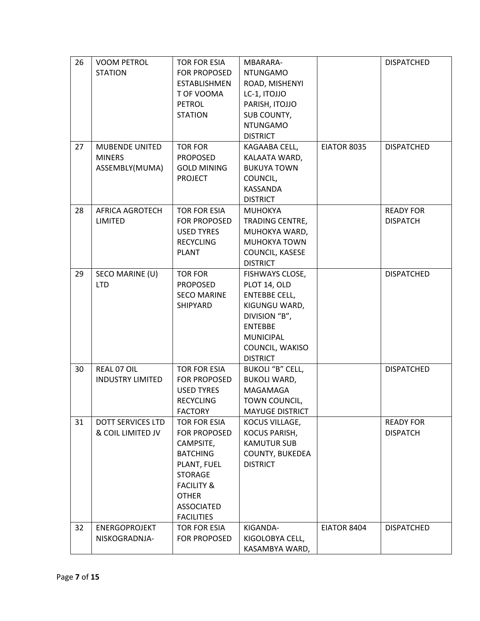| 26 | <b>VOOM PETROL</b>       | TOR FOR ESIA          | MBARARA-                |             | <b>DISPATCHED</b> |
|----|--------------------------|-----------------------|-------------------------|-------------|-------------------|
|    | <b>STATION</b>           | <b>FOR PROPOSED</b>   | <b>NTUNGAMO</b>         |             |                   |
|    |                          | <b>ESTABLISHMEN</b>   | ROAD, MISHENYI          |             |                   |
|    |                          | T OF VOOMA            | LC-1, ITOJJO            |             |                   |
|    |                          | <b>PETROL</b>         | PARISH, ITOJJO          |             |                   |
|    |                          | <b>STATION</b>        | SUB COUNTY,             |             |                   |
|    |                          |                       | <b>NTUNGAMO</b>         |             |                   |
|    |                          |                       | <b>DISTRICT</b>         |             |                   |
| 27 | <b>MUBENDE UNITED</b>    | <b>TOR FOR</b>        | KAGAABA CELL,           | EIATOR 8035 | <b>DISPATCHED</b> |
|    | <b>MINERS</b>            | <b>PROPOSED</b>       | KALAATA WARD,           |             |                   |
|    | ASSEMBLY(MUMA)           | <b>GOLD MINING</b>    | <b>BUKUYA TOWN</b>      |             |                   |
|    |                          | <b>PROJECT</b>        | COUNCIL,                |             |                   |
|    |                          |                       | KASSANDA                |             |                   |
|    |                          |                       | <b>DISTRICT</b>         |             |                   |
| 28 | <b>AFRICA AGROTECH</b>   | <b>TOR FOR ESIA</b>   | <b>MUHOKYA</b>          |             | <b>READY FOR</b>  |
|    | <b>LIMITED</b>           | FOR PROPOSED          | TRADING CENTRE,         |             | <b>DISPATCH</b>   |
|    |                          | <b>USED TYRES</b>     | MUHOKYA WARD,           |             |                   |
|    |                          | <b>RECYCLING</b>      | MUHOKYA TOWN            |             |                   |
|    |                          | <b>PLANT</b>          | COUNCIL, KASESE         |             |                   |
|    |                          |                       | <b>DISTRICT</b>         |             |                   |
| 29 | SECO MARINE (U)          | <b>TOR FOR</b>        | FISHWAYS CLOSE,         |             | <b>DISPATCHED</b> |
|    | <b>LTD</b>               | <b>PROPOSED</b>       | PLOT 14, OLD            |             |                   |
|    |                          | <b>SECO MARINE</b>    | <b>ENTEBBE CELL,</b>    |             |                   |
|    |                          | SHIPYARD              | KIGUNGU WARD,           |             |                   |
|    |                          |                       | DIVISION "B",           |             |                   |
|    |                          |                       | <b>ENTEBBE</b>          |             |                   |
|    |                          |                       | <b>MUNICIPAL</b>        |             |                   |
|    |                          |                       | COUNCIL, WAKISO         |             |                   |
|    |                          |                       | <b>DISTRICT</b>         |             |                   |
| 30 | REAL 07 OIL              | <b>TOR FOR ESIA</b>   | <b>BUKOLI "B" CELL,</b> |             | <b>DISPATCHED</b> |
|    | <b>INDUSTRY LIMITED</b>  | <b>FOR PROPOSED</b>   | <b>BUKOLI WARD,</b>     |             |                   |
|    |                          | <b>USED TYRES</b>     | <b>MAGAMAGA</b>         |             |                   |
|    |                          | <b>RECYCLING</b>      | TOWN COUNCIL,           |             |                   |
|    |                          | <b>FACTORY</b>        | <b>MAYUGE DISTRICT</b>  |             |                   |
| 31 | <b>DOTT SERVICES LTD</b> | TOR FOR ESIA          | KOCUS VILLAGE,          |             | <b>READY FOR</b>  |
|    | & COIL LIMITED JV        | FOR PROPOSED          | KOCUS PARISH,           |             | <b>DISPATCH</b>   |
|    |                          | CAMPSITE,             | <b>KAMUTUR SUB</b>      |             |                   |
|    |                          | <b>BATCHING</b>       | COUNTY, BUKEDEA         |             |                   |
|    |                          | PLANT, FUEL           | <b>DISTRICT</b>         |             |                   |
|    |                          | <b>STORAGE</b>        |                         |             |                   |
|    |                          | <b>FACILITY &amp;</b> |                         |             |                   |
|    |                          | <b>OTHER</b>          |                         |             |                   |
|    |                          | <b>ASSOCIATED</b>     |                         |             |                   |
|    |                          | <b>FACILITIES</b>     |                         |             |                   |
| 32 | <b>ENERGOPROJEKT</b>     | TOR FOR ESIA          | KIGANDA-                | EIATOR 8404 | <b>DISPATCHED</b> |
|    | NISKOGRADNJA-            | FOR PROPOSED          | KIGOLOBYA CELL,         |             |                   |
|    |                          |                       | KASAMBYA WARD,          |             |                   |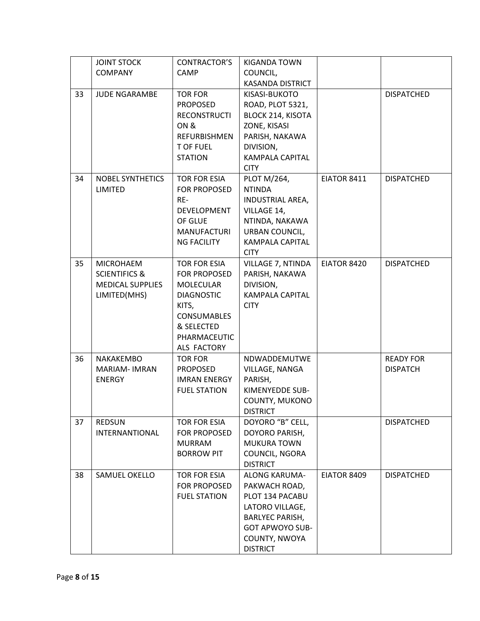|    | <b>JOINT STOCK</b>       | CONTRACTOR'S        | <b>KIGANDA TOWN</b>      |             |                   |
|----|--------------------------|---------------------|--------------------------|-------------|-------------------|
|    | <b>COMPANY</b>           | <b>CAMP</b>         | COUNCIL,                 |             |                   |
|    |                          |                     | KASANDA DISTRICT         |             |                   |
| 33 | <b>JUDE NGARAMBE</b>     | <b>TOR FOR</b>      | KISASI-BUKOTO            |             | <b>DISPATCHED</b> |
|    |                          | <b>PROPOSED</b>     | ROAD, PLOT 5321,         |             |                   |
|    |                          | <b>RECONSTRUCTI</b> | <b>BLOCK 214, KISOTA</b> |             |                   |
|    |                          | ON &                | ZONE, KISASI             |             |                   |
|    |                          | <b>REFURBISHMEN</b> | PARISH, NAKAWA           |             |                   |
|    |                          | <b>T OF FUEL</b>    | DIVISION,                |             |                   |
|    |                          | <b>STATION</b>      | <b>KAMPALA CAPITAL</b>   |             |                   |
|    |                          |                     | <b>CITY</b>              |             |                   |
| 34 | <b>NOBEL SYNTHETICS</b>  | <b>TOR FOR ESIA</b> | PLOT M/264,              | EIATOR 8411 | <b>DISPATCHED</b> |
|    | LIMITED                  | FOR PROPOSED        | <b>NTINDA</b>            |             |                   |
|    |                          | RE-                 | INDUSTRIAL AREA,         |             |                   |
|    |                          | DEVELOPMENT         | VILLAGE 14,              |             |                   |
|    |                          | OF GLUE             | NTINDA, NAKAWA           |             |                   |
|    |                          | <b>MANUFACTURI</b>  | <b>URBAN COUNCIL,</b>    |             |                   |
|    |                          | <b>NG FACILITY</b>  | KAMPALA CAPITAL          |             |                   |
|    |                          |                     | <b>CITY</b>              |             |                   |
| 35 | <b>MICROHAEM</b>         | <b>TOR FOR ESIA</b> | VILLAGE 7, NTINDA        | EIATOR 8420 | <b>DISPATCHED</b> |
|    | <b>SCIENTIFICS &amp;</b> | <b>FOR PROPOSED</b> |                          |             |                   |
|    |                          |                     | PARISH, NAKAWA           |             |                   |
|    | <b>MEDICAL SUPPLIES</b>  | <b>MOLECULAR</b>    | DIVISION,                |             |                   |
|    | LIMITED(MHS)             | <b>DIAGNOSTIC</b>   | KAMPALA CAPITAL          |             |                   |
|    |                          | KITS,               | <b>CITY</b>              |             |                   |
|    |                          | <b>CONSUMABLES</b>  |                          |             |                   |
|    |                          | & SELECTED          |                          |             |                   |
|    |                          | PHARMACEUTIC        |                          |             |                   |
|    |                          | ALS FACTORY         |                          |             |                   |
| 36 | NAKAKEMBO                | <b>TOR FOR</b>      | NDWADDEMUTWE             |             | <b>READY FOR</b>  |
|    | <b>MARIAM-IMRAN</b>      | <b>PROPOSED</b>     | VILLAGE, NANGA           |             | <b>DISPATCH</b>   |
|    | <b>ENERGY</b>            | <b>IMRAN ENERGY</b> | PARISH,                  |             |                   |
|    |                          | <b>FUEL STATION</b> | KIMENYEDDE SUB-          |             |                   |
|    |                          |                     | COUNTY, MUKONO           |             |                   |
|    |                          |                     | <b>DISTRICT</b>          |             |                   |
| 37 | <b>REDSUN</b>            | <b>TOR FOR ESIA</b> | DOYORO "B" CELL,         |             | <b>DISPATCHED</b> |
|    | <b>INTERNANTIONAL</b>    | FOR PROPOSED        | DOYORO PARISH,           |             |                   |
|    |                          | <b>MURRAM</b>       | <b>MUKURA TOWN</b>       |             |                   |
|    |                          | <b>BORROW PIT</b>   | COUNCIL, NGORA           |             |                   |
|    |                          |                     | <b>DISTRICT</b>          |             |                   |
| 38 | <b>SAMUEL OKELLO</b>     | <b>TOR FOR ESIA</b> | <b>ALONG KARUMA-</b>     | EIATOR 8409 | <b>DISPATCHED</b> |
|    |                          | FOR PROPOSED        | PAKWACH ROAD,            |             |                   |
|    |                          | <b>FUEL STATION</b> | PLOT 134 PACABU          |             |                   |
|    |                          |                     | LATORO VILLAGE,          |             |                   |
|    |                          |                     | <b>BARLYEC PARISH,</b>   |             |                   |
|    |                          |                     | <b>GOT APWOYO SUB-</b>   |             |                   |
|    |                          |                     |                          |             |                   |
|    |                          |                     | COUNTY, NWOYA            |             |                   |
|    |                          |                     | <b>DISTRICT</b>          |             |                   |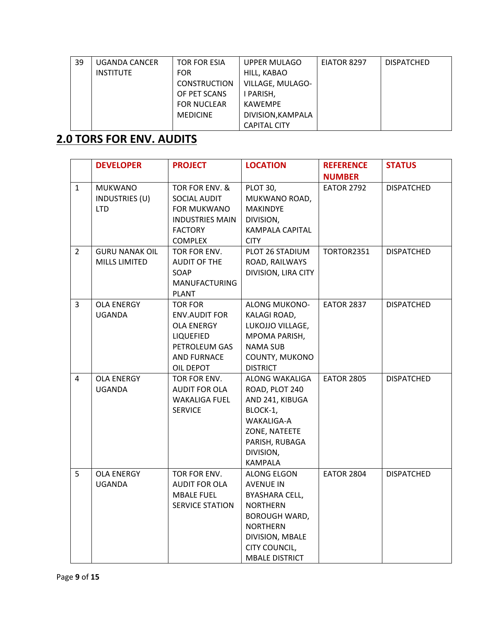| 39 | UGANDA CANCER | TOR FOR ESIA        | UPPER MULAGO        | EIATOR 8297 | <b>DISPATCHED</b> |
|----|---------------|---------------------|---------------------|-------------|-------------------|
|    | INSTITUTE     | <b>FOR</b>          | HILL, KABAO         |             |                   |
|    |               | <b>CONSTRUCTION</b> | VILLAGE, MULAGO-    |             |                   |
|    |               | OF PET SCANS        | I PARISH,           |             |                   |
|    |               | <b>FOR NUCLEAR</b>  | <b>KAWEMPE</b>      |             |                   |
|    |               | <b>MEDICINE</b>     | DIVISION, KAMPALA   |             |                   |
|    |               |                     | <b>CAPITAL CITY</b> |             |                   |

## **2.0 TORS FOR ENV. AUDITS**

|                | <b>DEVELOPER</b>      | <b>PROJECT</b>         | <b>LOCATION</b>        | <b>REFERENCE</b>  | <b>STATUS</b>     |
|----------------|-----------------------|------------------------|------------------------|-------------------|-------------------|
|                |                       |                        |                        | <b>NUMBER</b>     |                   |
| $\mathbf{1}$   | <b>MUKWANO</b>        | TOR FOR ENV. &         | PLOT 30,               | <b>EATOR 2792</b> | <b>DISPATCHED</b> |
|                | INDUSTRIES (U)        | SOCIAL AUDIT           | MUKWANO ROAD,          |                   |                   |
|                | <b>LTD</b>            | FOR MUKWANO            | <b>MAKINDYE</b>        |                   |                   |
|                |                       | <b>INDUSTRIES MAIN</b> | DIVISION,              |                   |                   |
|                |                       | <b>FACTORY</b>         | <b>KAMPALA CAPITAL</b> |                   |                   |
|                |                       | <b>COMPLEX</b>         | <b>CITY</b>            |                   |                   |
| $\overline{2}$ | <b>GURU NANAK OIL</b> | TOR FOR ENV.           | PLOT 26 STADIUM        | <b>TORTOR2351</b> | <b>DISPATCHED</b> |
|                | MILLS LIMITED         | AUDIT OF THE           | ROAD, RAILWAYS         |                   |                   |
|                |                       | SOAP                   | DIVISION, LIRA CITY    |                   |                   |
|                |                       | <b>MANUFACTURING</b>   |                        |                   |                   |
|                |                       | <b>PLANT</b>           |                        |                   |                   |
| $\overline{3}$ | <b>OLA ENERGY</b>     | <b>TOR FOR</b>         | <b>ALONG MUKONO-</b>   | <b>EATOR 2837</b> | <b>DISPATCHED</b> |
|                | <b>UGANDA</b>         | <b>ENV.AUDIT FOR</b>   | KALAGI ROAD,           |                   |                   |
|                |                       | <b>OLA ENERGY</b>      | LUKOJJO VILLAGE,       |                   |                   |
|                |                       | LIQUEFIED              | MPOMA PARISH,          |                   |                   |
|                |                       | PETROLEUM GAS          | <b>NAMA SUB</b>        |                   |                   |
|                |                       | <b>AND FURNACE</b>     | COUNTY, MUKONO         |                   |                   |
|                |                       | OIL DEPOT              | <b>DISTRICT</b>        |                   |                   |
| 4              | <b>OLA ENERGY</b>     | TOR FOR ENV.           | ALONG WAKALIGA         | <b>EATOR 2805</b> | <b>DISPATCHED</b> |
|                | <b>UGANDA</b>         | <b>AUDIT FOR OLA</b>   | ROAD, PLOT 240         |                   |                   |
|                |                       | <b>WAKALIGA FUEL</b>   | AND 241, KIBUGA        |                   |                   |
|                |                       | <b>SERVICE</b>         | BLOCK-1,               |                   |                   |
|                |                       |                        | WAKALIGA-A             |                   |                   |
|                |                       |                        | ZONE, NATEETE          |                   |                   |
|                |                       |                        | PARISH, RUBAGA         |                   |                   |
|                |                       |                        | DIVISION,              |                   |                   |
|                |                       |                        | <b>KAMPALA</b>         |                   |                   |
| 5              | <b>OLA ENERGY</b>     | TOR FOR ENV.           | <b>ALONG ELGON</b>     | <b>EATOR 2804</b> | <b>DISPATCHED</b> |
|                | <b>UGANDA</b>         | <b>AUDIT FOR OLA</b>   | <b>AVENUE IN</b>       |                   |                   |
|                |                       | <b>MBALE FUEL</b>      | BYASHARA CELL,         |                   |                   |
|                |                       | <b>SERVICE STATION</b> | <b>NORTHERN</b>        |                   |                   |
|                |                       |                        | <b>BOROUGH WARD,</b>   |                   |                   |
|                |                       |                        | <b>NORTHERN</b>        |                   |                   |
|                |                       |                        | DIVISION, MBALE        |                   |                   |
|                |                       |                        | CITY COUNCIL,          |                   |                   |
|                |                       |                        | <b>MBALE DISTRICT</b>  |                   |                   |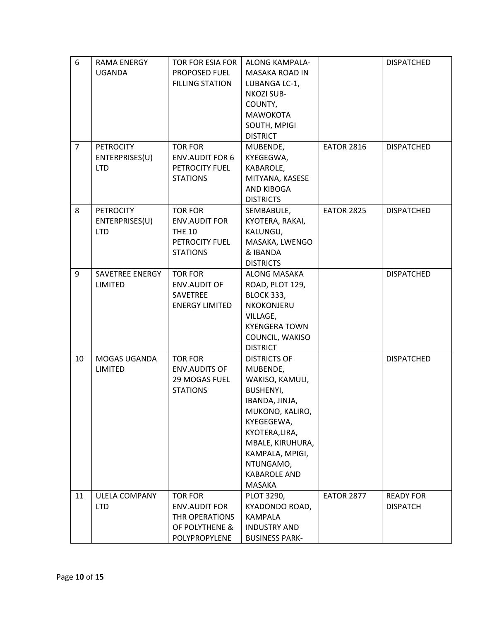| 6              | <b>RAMA ENERGY</b>   | <b>TOR FOR ESIA FOR</b> | <b>ALONG KAMPALA-</b> |                   | <b>DISPATCHED</b> |
|----------------|----------------------|-------------------------|-----------------------|-------------------|-------------------|
|                | <b>UGANDA</b>        | PROPOSED FUEL           | <b>MASAKA ROAD IN</b> |                   |                   |
|                |                      | <b>FILLING STATION</b>  | LUBANGA LC-1,         |                   |                   |
|                |                      |                         | <b>NKOZI SUB-</b>     |                   |                   |
|                |                      |                         | COUNTY,               |                   |                   |
|                |                      |                         | <b>MAWOKOTA</b>       |                   |                   |
|                |                      |                         | SOUTH, MPIGI          |                   |                   |
|                |                      |                         | <b>DISTRICT</b>       |                   |                   |
| $\overline{7}$ | <b>PETROCITY</b>     | <b>TOR FOR</b>          | MUBENDE,              | <b>EATOR 2816</b> | <b>DISPATCHED</b> |
|                | ENTERPRISES(U)       | <b>ENV.AUDIT FOR 6</b>  | KYEGEGWA,             |                   |                   |
|                | <b>LTD</b>           | PETROCITY FUEL          | KABAROLE,             |                   |                   |
|                |                      | <b>STATIONS</b>         | MITYANA, KASESE       |                   |                   |
|                |                      |                         | <b>AND KIBOGA</b>     |                   |                   |
|                |                      |                         | <b>DISTRICTS</b>      |                   |                   |
| 8              | <b>PETROCITY</b>     | <b>TOR FOR</b>          | SEMBABULE,            | <b>EATOR 2825</b> | <b>DISPATCHED</b> |
|                | ENTERPRISES(U)       | <b>ENV.AUDIT FOR</b>    | KYOTERA, RAKAI,       |                   |                   |
|                | <b>LTD</b>           | <b>THE 10</b>           | KALUNGU,              |                   |                   |
|                |                      | PETROCITY FUEL          | MASAKA, LWENGO        |                   |                   |
|                |                      | <b>STATIONS</b>         | & IBANDA              |                   |                   |
|                |                      |                         | <b>DISTRICTS</b>      |                   |                   |
| 9              | SAVETREE ENERGY      | <b>TOR FOR</b>          | ALONG MASAKA          |                   | <b>DISPATCHED</b> |
|                | <b>LIMITED</b>       | <b>ENV.AUDIT OF</b>     | ROAD, PLOT 129,       |                   |                   |
|                |                      | <b>SAVETREE</b>         | <b>BLOCK 333,</b>     |                   |                   |
|                |                      | <b>ENERGY LIMITED</b>   | <b>NKOKONJERU</b>     |                   |                   |
|                |                      |                         | VILLAGE,              |                   |                   |
|                |                      |                         | <b>KYENGERA TOWN</b>  |                   |                   |
|                |                      |                         | COUNCIL, WAKISO       |                   |                   |
|                |                      |                         | <b>DISTRICT</b>       |                   |                   |
| 10             | MOGAS UGANDA         | <b>TOR FOR</b>          | <b>DISTRICTS OF</b>   |                   | <b>DISPATCHED</b> |
|                | <b>LIMITED</b>       | <b>ENV.AUDITS OF</b>    | MUBENDE,              |                   |                   |
|                |                      | 29 MOGAS FUEL           | WAKISO, KAMULI,       |                   |                   |
|                |                      | <b>STATIONS</b>         | <b>BUSHENYI,</b>      |                   |                   |
|                |                      |                         | IBANDA, JINJA,        |                   |                   |
|                |                      |                         | MUKONO, KALIRO,       |                   |                   |
|                |                      |                         | KYEGEGEWA,            |                   |                   |
|                |                      |                         | KYOTERA, LIRA,        |                   |                   |
|                |                      |                         | MBALE, KIRUHURA,      |                   |                   |
|                |                      |                         | KAMPALA, MPIGI,       |                   |                   |
|                |                      |                         | NTUNGAMO,             |                   |                   |
|                |                      |                         | <b>KABAROLE AND</b>   |                   |                   |
|                |                      |                         | MASAKA                |                   |                   |
| 11             | <b>ULELA COMPANY</b> | <b>TOR FOR</b>          | PLOT 3290,            | <b>EATOR 2877</b> | <b>READY FOR</b>  |
|                | <b>LTD</b>           | <b>ENV.AUDIT FOR</b>    | KYADONDO ROAD,        |                   | <b>DISPATCH</b>   |
|                |                      | THR OPERATIONS          | <b>KAMPALA</b>        |                   |                   |
|                |                      | OF POLYTHENE &          | <b>INDUSTRY AND</b>   |                   |                   |
|                |                      | POLYPROPYLENE           | <b>BUSINESS PARK-</b> |                   |                   |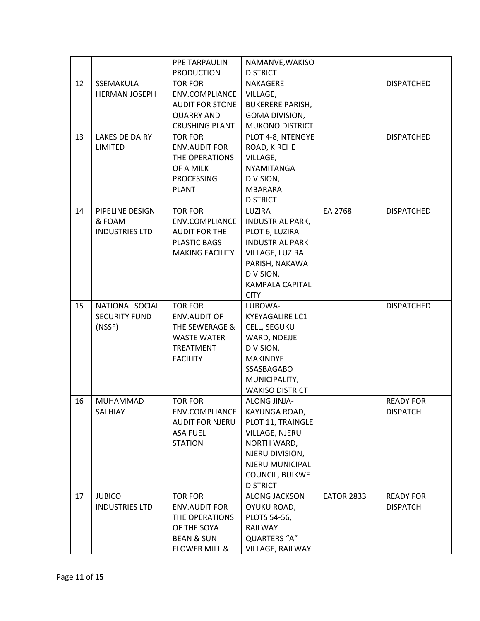|    |                           | PPE TARPAULIN                          | NAMANVE, WAKISO                           |                   |                   |
|----|---------------------------|----------------------------------------|-------------------------------------------|-------------------|-------------------|
|    |                           | <b>PRODUCTION</b>                      | <b>DISTRICT</b>                           |                   |                   |
| 12 | SSEMAKULA                 | <b>TOR FOR</b>                         | NAKAGERE                                  |                   | <b>DISPATCHED</b> |
|    | <b>HERMAN JOSEPH</b>      | ENV.COMPLIANCE                         | VILLAGE,                                  |                   |                   |
|    |                           | <b>AUDIT FOR STONE</b>                 | <b>BUKERERE PARISH,</b>                   |                   |                   |
|    |                           | <b>QUARRY AND</b>                      | GOMA DIVISION,                            |                   |                   |
|    |                           | <b>CRUSHING PLANT</b>                  | <b>MUKONO DISTRICT</b>                    |                   |                   |
| 13 | <b>LAKESIDE DAIRY</b>     | <b>TOR FOR</b>                         | PLOT 4-8, NTENGYE                         |                   | <b>DISPATCHED</b> |
|    | LIMITED                   | <b>ENV.AUDIT FOR</b>                   | ROAD, KIREHE                              |                   |                   |
|    |                           | THE OPERATIONS                         | VILLAGE,                                  |                   |                   |
|    |                           | OF A MILK                              | <b>NYAMITANGA</b>                         |                   |                   |
|    |                           | <b>PROCESSING</b>                      | DIVISION,                                 |                   |                   |
|    |                           | <b>PLANT</b>                           | <b>MBARARA</b>                            |                   |                   |
|    |                           |                                        | <b>DISTRICT</b>                           |                   |                   |
| 14 | PIPELINE DESIGN<br>& FOAM | <b>TOR FOR</b>                         | LUZIRA                                    | EA 2768           | <b>DISPATCHED</b> |
|    | <b>INDUSTRIES LTD</b>     | ENV.COMPLIANCE<br><b>AUDIT FOR THE</b> | <b>INDUSTRIAL PARK,</b><br>PLOT 6, LUZIRA |                   |                   |
|    |                           | <b>PLASTIC BAGS</b>                    | <b>INDUSTRIAL PARK</b>                    |                   |                   |
|    |                           | <b>MAKING FACILITY</b>                 | VILLAGE, LUZIRA                           |                   |                   |
|    |                           |                                        | PARISH, NAKAWA                            |                   |                   |
|    |                           |                                        | DIVISION,                                 |                   |                   |
|    |                           |                                        | <b>KAMPALA CAPITAL</b>                    |                   |                   |
|    |                           |                                        | <b>CITY</b>                               |                   |                   |
| 15 | NATIONAL SOCIAL           | <b>TOR FOR</b>                         | LUBOWA-                                   |                   | <b>DISPATCHED</b> |
|    | <b>SECURITY FUND</b>      | <b>ENV.AUDIT OF</b>                    | <b>KYEYAGALIRE LC1</b>                    |                   |                   |
|    | (NSSF)                    | THE SEWERAGE &                         | CELL, SEGUKU                              |                   |                   |
|    |                           | <b>WASTE WATER</b>                     | WARD, NDEJJE                              |                   |                   |
|    |                           | <b>TREATMENT</b>                       | DIVISION,                                 |                   |                   |
|    |                           | <b>FACILITY</b>                        | <b>MAKINDYE</b>                           |                   |                   |
|    |                           |                                        | SSASBAGABO                                |                   |                   |
|    |                           |                                        | MUNICIPALITY,                             |                   |                   |
|    |                           |                                        | <b>WAKISO DISTRICT</b>                    |                   |                   |
| 16 | <b>MUHAMMAD</b>           | <b>TOR FOR</b>                         | <b>ALONG JINJA-</b>                       |                   | <b>READY FOR</b>  |
|    | SALHIAY                   | <b>ENV.COMPLIANCE</b>                  | KAYUNGA ROAD,                             |                   | <b>DISPATCH</b>   |
|    |                           | <b>AUDIT FOR NJERU</b>                 | PLOT 11, TRAINGLE                         |                   |                   |
|    |                           | ASA FUEL<br><b>STATION</b>             | VILLAGE, NJERU                            |                   |                   |
|    |                           |                                        | NORTH WARD,<br>NJERU DIVISION,            |                   |                   |
|    |                           |                                        | NJERU MUNICIPAL                           |                   |                   |
|    |                           |                                        | COUNCIL, BUIKWE                           |                   |                   |
|    |                           |                                        | <b>DISTRICT</b>                           |                   |                   |
| 17 | <b>JUBICO</b>             | <b>TOR FOR</b>                         | ALONG JACKSON                             | <b>EATOR 2833</b> | <b>READY FOR</b>  |
|    | <b>INDUSTRIES LTD</b>     | <b>ENV.AUDIT FOR</b>                   | OYUKU ROAD,                               |                   | <b>DISPATCH</b>   |
|    |                           | THE OPERATIONS                         | PLOTS 54-56,                              |                   |                   |
|    |                           | OF THE SOYA                            | RAILWAY                                   |                   |                   |
|    |                           | <b>BEAN &amp; SUN</b>                  | QUARTERS "A"                              |                   |                   |
|    |                           | <b>FLOWER MILL &amp;</b>               | VILLAGE, RAILWAY                          |                   |                   |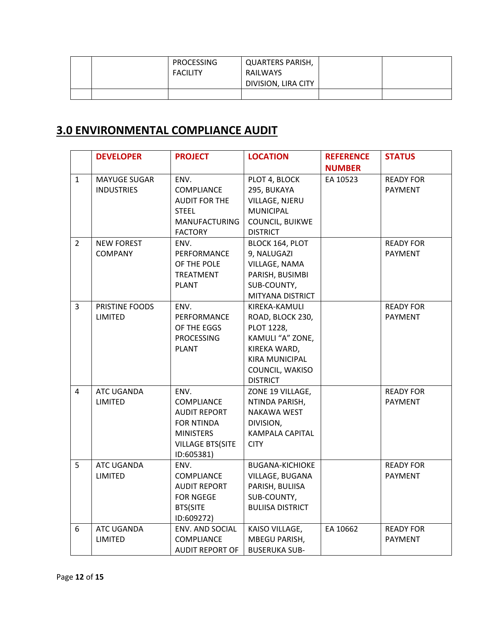|  | <b>PROCESSING</b> | QUARTERS PARISH,    |  |
|--|-------------------|---------------------|--|
|  | <b>FACILITY</b>   | RAILWAYS            |  |
|  |                   | DIVISION, LIRA CITY |  |
|  |                   |                     |  |

#### **3.0 ENVIRONMENTAL COMPLIANCE AUDIT**

|                | <b>DEVELOPER</b>      | <b>PROJECT</b>          | <b>LOCATION</b>         | <b>REFERENCE</b> | <b>STATUS</b>    |
|----------------|-----------------------|-------------------------|-------------------------|------------------|------------------|
|                |                       |                         |                         | <b>NUMBER</b>    |                  |
| $\mathbf{1}$   | <b>MAYUGE SUGAR</b>   | ENV.                    | PLOT 4, BLOCK           | EA 10523         | <b>READY FOR</b> |
|                | <b>INDUSTRIES</b>     | COMPLIANCE              | 295, BUKAYA             |                  | <b>PAYMENT</b>   |
|                |                       | <b>AUDIT FOR THE</b>    | VILLAGE, NJERU          |                  |                  |
|                |                       | <b>STEEL</b>            | <b>MUNICIPAL</b>        |                  |                  |
|                |                       | <b>MANUFACTURING</b>    | COUNCIL, BUIKWE         |                  |                  |
|                |                       | <b>FACTORY</b>          | <b>DISTRICT</b>         |                  |                  |
| $\overline{2}$ | <b>NEW FOREST</b>     | ENV.                    | BLOCK 164, PLOT         |                  | <b>READY FOR</b> |
|                | <b>COMPANY</b>        | PERFORMANCE             | 9, NALUGAZI             |                  | PAYMENT          |
|                |                       | OF THE POLE             | VILLAGE, NAMA           |                  |                  |
|                |                       | TREATMENT               | PARISH, BUSIMBI         |                  |                  |
|                |                       | <b>PLANT</b>            | SUB-COUNTY,             |                  |                  |
|                |                       |                         | MITYANA DISTRICT        |                  |                  |
| 3              | <b>PRISTINE FOODS</b> | ENV.                    | KIREKA-KAMULI           |                  | <b>READY FOR</b> |
|                | LIMITED               | PERFORMANCE             | ROAD, BLOCK 230,        |                  | <b>PAYMENT</b>   |
|                |                       | OF THE EGGS             | PLOT 1228,              |                  |                  |
|                |                       | <b>PROCESSING</b>       | KAMULI "A" ZONE,        |                  |                  |
|                |                       | <b>PLANT</b>            | KIREKA WARD,            |                  |                  |
|                |                       |                         | <b>KIRA MUNICIPAL</b>   |                  |                  |
|                |                       |                         | COUNCIL, WAKISO         |                  |                  |
|                |                       |                         | <b>DISTRICT</b>         |                  |                  |
| 4              | ATC UGANDA            | ENV.                    | ZONE 19 VILLAGE,        |                  | <b>READY FOR</b> |
|                | LIMITED               | COMPLIANCE              | NTINDA PARISH,          |                  | <b>PAYMENT</b>   |
|                |                       | <b>AUDIT REPORT</b>     | <b>NAKAWA WEST</b>      |                  |                  |
|                |                       | <b>FOR NTINDA</b>       | DIVISION,               |                  |                  |
|                |                       | <b>MINISTERS</b>        | <b>KAMPALA CAPITAL</b>  |                  |                  |
|                |                       | <b>VILLAGE BTS(SITE</b> | <b>CITY</b>             |                  |                  |
|                |                       | ID:605381)              |                         |                  |                  |
| 5              | ATC UGANDA            | ENV.                    | <b>BUGANA-KICHIOKE</b>  |                  | <b>READY FOR</b> |
|                | LIMITED               | COMPLIANCE              | VILLAGE, BUGANA         |                  | <b>PAYMENT</b>   |
|                |                       | <b>AUDIT REPORT</b>     | PARISH, BULIISA         |                  |                  |
|                |                       | <b>FOR NGEGE</b>        | SUB-COUNTY,             |                  |                  |
|                |                       | <b>BTS(SITE</b>         | <b>BULIISA DISTRICT</b> |                  |                  |
|                |                       | ID:609272)              |                         |                  |                  |
| 6              | ATC UGANDA            | ENV. AND SOCIAL         | KAISO VILLAGE,          | EA 10662         | <b>READY FOR</b> |
|                | LIMITED               | COMPLIANCE              | <b>MBEGU PARISH,</b>    |                  | <b>PAYMENT</b>   |
|                |                       | <b>AUDIT REPORT OF</b>  | <b>BUSERUKA SUB-</b>    |                  |                  |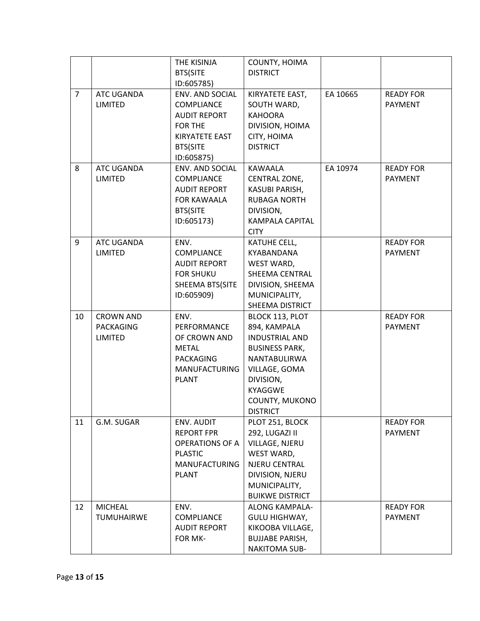|                |                   | THE KISINJA            | COUNTY, HOIMA          |          |                  |
|----------------|-------------------|------------------------|------------------------|----------|------------------|
|                |                   | <b>BTS(SITE</b>        | <b>DISTRICT</b>        |          |                  |
|                |                   | ID:605785)             |                        |          |                  |
| $\overline{7}$ | ATC UGANDA        | ENV. AND SOCIAL        | KIRYATETE EAST,        | EA 10665 | <b>READY FOR</b> |
|                | LIMITED           | <b>COMPLIANCE</b>      | SOUTH WARD,            |          | <b>PAYMENT</b>   |
|                |                   | <b>AUDIT REPORT</b>    | <b>KAHOORA</b>         |          |                  |
|                |                   | FOR THE                | DIVISION, HOIMA        |          |                  |
|                |                   | KIRYATETE EAST         | CITY, HOIMA            |          |                  |
|                |                   | <b>BTS(SITE</b>        | <b>DISTRICT</b>        |          |                  |
|                |                   | ID:605875)             |                        |          |                  |
| 8              | ATC UGANDA        | <b>ENV. AND SOCIAL</b> | KAWAALA                | EA 10974 | <b>READY FOR</b> |
|                | LIMITED           | <b>COMPLIANCE</b>      | CENTRAL ZONE,          |          | <b>PAYMENT</b>   |
|                |                   | <b>AUDIT REPORT</b>    | KASUBI PARISH,         |          |                  |
|                |                   | FOR KAWAALA            | <b>RUBAGA NORTH</b>    |          |                  |
|                |                   | <b>BTS(SITE</b>        | DIVISION,              |          |                  |
|                |                   | ID:605173)             | KAMPALA CAPITAL        |          |                  |
|                |                   |                        | <b>CITY</b>            |          |                  |
| 9              | ATC UGANDA        | ENV.                   | KATUHE CELL,           |          | <b>READY FOR</b> |
|                | <b>LIMITED</b>    | <b>COMPLIANCE</b>      | <b>KYABANDANA</b>      |          | <b>PAYMENT</b>   |
|                |                   | <b>AUDIT REPORT</b>    | WEST WARD,             |          |                  |
|                |                   | <b>FOR SHUKU</b>       | SHEEMA CENTRAL         |          |                  |
|                |                   | SHEEMA BTS(SITE        | DIVISION, SHEEMA       |          |                  |
|                |                   | ID:605909)             | MUNICIPALITY,          |          |                  |
|                |                   |                        | SHEEMA DISTRICT        |          |                  |
| 10             | <b>CROWN AND</b>  | ENV.                   | BLOCK 113, PLOT        |          | <b>READY FOR</b> |
|                | <b>PACKAGING</b>  | PERFORMANCE            | 894, KAMPALA           |          | <b>PAYMENT</b>   |
|                | <b>LIMITED</b>    | OF CROWN AND           | INDUSTRIAL AND         |          |                  |
|                |                   | <b>METAL</b>           | <b>BUSINESS PARK,</b>  |          |                  |
|                |                   | <b>PACKAGING</b>       | NANTABULIRWA           |          |                  |
|                |                   | <b>MANUFACTURING</b>   | VILLAGE, GOMA          |          |                  |
|                |                   | <b>PLANT</b>           | DIVISION,              |          |                  |
|                |                   |                        | KYAGGWE                |          |                  |
|                |                   |                        | COUNTY, MUKONO         |          |                  |
|                |                   |                        | <b>DISTRICT</b>        |          |                  |
| 11             | G.M. SUGAR        | ENV. AUDIT             | PLOT 251, BLOCK        |          | <b>READY FOR</b> |
|                |                   | <b>REPORT FPR</b>      | 292, LUGAZI II         |          | <b>PAYMENT</b>   |
|                |                   | <b>OPERATIONS OF A</b> | VILLAGE, NJERU         |          |                  |
|                |                   | <b>PLASTIC</b>         | WEST WARD,             |          |                  |
|                |                   | <b>MANUFACTURING</b>   | NJERU CENTRAL          |          |                  |
|                |                   | <b>PLANT</b>           | DIVISION, NJERU        |          |                  |
|                |                   |                        | MUNICIPALITY,          |          |                  |
|                |                   |                        | <b>BUIKWE DISTRICT</b> |          |                  |
| 12             | <b>MICHEAL</b>    | ENV.                   | <b>ALONG KAMPALA-</b>  |          | <b>READY FOR</b> |
|                | <b>TUMUHAIRWE</b> | COMPLIANCE             | GULU HIGHWAY,          |          | <b>PAYMENT</b>   |
|                |                   | <b>AUDIT REPORT</b>    | KIKOOBA VILLAGE,       |          |                  |
|                |                   | FOR MK-                | <b>BUJJABE PARISH,</b> |          |                  |
|                |                   |                        | <b>NAKITOMA SUB-</b>   |          |                  |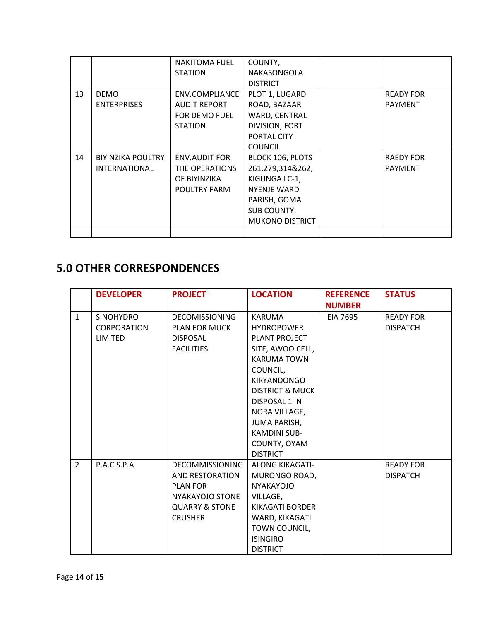|    |                          | <b>NAKITOMA FUEL</b> | COUNTY,                |                  |
|----|--------------------------|----------------------|------------------------|------------------|
|    |                          | <b>STATION</b>       | NAKASONGOLA            |                  |
|    |                          |                      | <b>DISTRICT</b>        |                  |
| 13 | <b>DEMO</b>              | ENV.COMPLIANCE       | PLOT 1, LUGARD         | <b>READY FOR</b> |
|    | <b>ENTERPRISES</b>       | <b>AUDIT REPORT</b>  | ROAD, BAZAAR           | <b>PAYMENT</b>   |
|    |                          | FOR DEMO FUEL        | WARD, CENTRAL          |                  |
|    |                          | <b>STATION</b>       | DIVISION, FORT         |                  |
|    |                          |                      | PORTAL CITY            |                  |
|    |                          |                      | <b>COUNCIL</b>         |                  |
| 14 | <b>BIYINZIKA POULTRY</b> | <b>ENV.AUDIT FOR</b> | BLOCK 106, PLOTS       | <b>RAEDY FOR</b> |
|    | <b>INTERNATIONAL</b>     | THE OPERATIONS       | 261,279,314&262,       | <b>PAYMENT</b>   |
|    |                          | OF BIYINZIKA         | KIGUNGA LC-1,          |                  |
|    |                          | POULTRY FARM         | NYENJE WARD            |                  |
|    |                          |                      | PARISH, GOMA           |                  |
|    |                          |                      | SUB COUNTY,            |                  |
|    |                          |                      | <b>MUKONO DISTRICT</b> |                  |
|    |                          |                      |                        |                  |

#### **5.0 OTHER CORRESPONDENCES**

|                | <b>DEVELOPER</b>                                  | <b>PROJECT</b>                                                                                                                        | <b>LOCATION</b>                                                                                                                                                                                                                                                           | <b>REFERENCE</b><br><b>NUMBER</b> | <b>STATUS</b>                       |
|----------------|---------------------------------------------------|---------------------------------------------------------------------------------------------------------------------------------------|---------------------------------------------------------------------------------------------------------------------------------------------------------------------------------------------------------------------------------------------------------------------------|-----------------------------------|-------------------------------------|
| $\mathbf{1}$   | <b>SINOHYDRO</b><br><b>CORPORATION</b><br>LIMITED | <b>DECOMISSIONING</b><br><b>PLAN FOR MUCK</b><br><b>DISPOSAL</b><br><b>FACILITIES</b>                                                 | <b>KARUMA</b><br><b>HYDROPOWER</b><br>PLANT PROJECT<br>SITE, AWOO CELL,<br><b>KARUMA TOWN</b><br>COUNCIL,<br>KIRYANDONGO<br><b>DISTRICT &amp; MUCK</b><br>DISPOSAL 1 IN<br>NORA VILLAGE,<br><b>JUMA PARISH,</b><br><b>KAMDINI SUB-</b><br>COUNTY, OYAM<br><b>DISTRICT</b> | EIA 7695                          | <b>READY FOR</b><br><b>DISPATCH</b> |
| $\overline{2}$ | P.A.C S.P.A                                       | <b>DECOMMISSIONING</b><br><b>AND RESTORATION</b><br><b>PLAN FOR</b><br>NYAKAYOJO STONE<br><b>QUARRY &amp; STONE</b><br><b>CRUSHER</b> | <b>ALONG KIKAGATI-</b><br>MURONGO ROAD,<br><b>NYAKAYOJO</b><br>VILLAGE,<br>KIKAGATI BORDER<br>WARD, KIKAGATI<br>TOWN COUNCIL,<br><b>ISINGIRO</b><br><b>DISTRICT</b>                                                                                                       |                                   | <b>READY FOR</b><br><b>DISPATCH</b> |